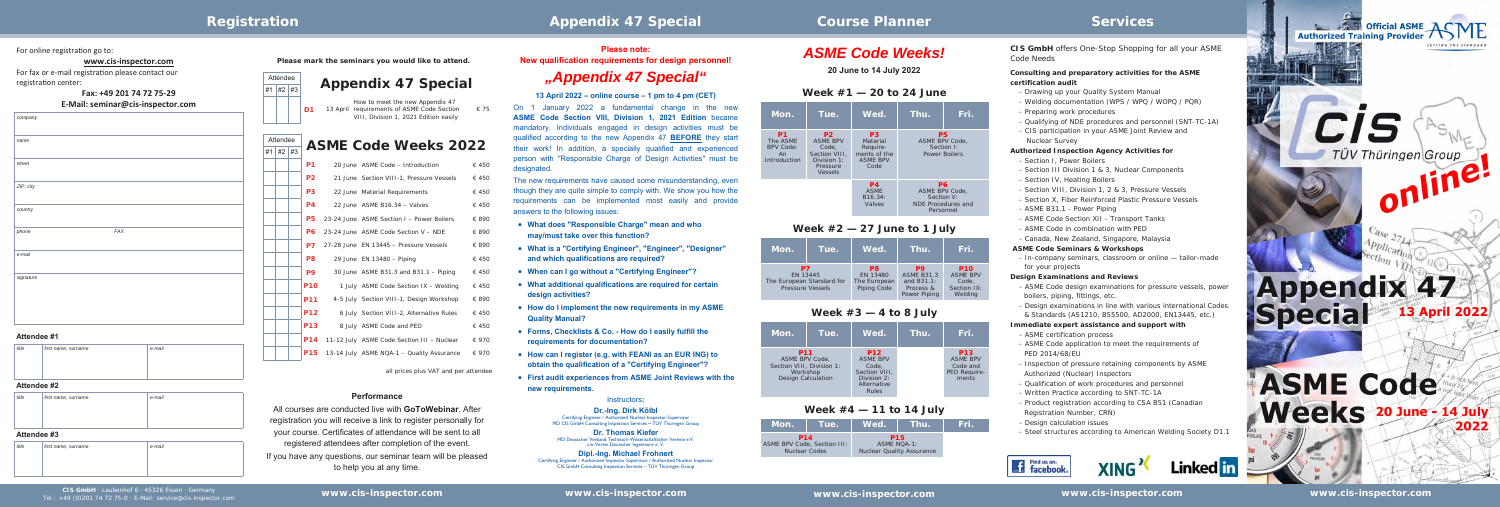For online registration go to:

## **Week #1 — 20 to 24 June**

| Mon.                                                     | Tue.                                                                                              | Wed.                                                                              | Thu.                                                                  | Fri.       |
|----------------------------------------------------------|---------------------------------------------------------------------------------------------------|-----------------------------------------------------------------------------------|-----------------------------------------------------------------------|------------|
| P1<br>The ASME<br><b>BPV Code:</b><br>An<br>Introduction | P <sub>2</sub><br><b>ASME BPV</b><br>Code,<br>Section VIII.<br>Division 1:<br>Pressure<br>Vessels | P <sub>3</sub><br>Material<br>Require-<br>ments of the<br><b>ASME BPV</b><br>Code | P <sub>5</sub><br>ASME BPV Code,<br><b>Power Boilers</b>              | Section I: |
|                                                          |                                                                                                   | P <sub>4</sub><br><b>ASME</b><br>B16.34:<br>Valves                                | P6<br>ASME BPV Code.<br>Section V:<br>NDE Procedures and<br>Personnel |            |

## **Week #2 — 27 June to 1 July**

| Mon.                                                                   | Tue. | Wed.                                                      | Thu.                                                               | Fri.                                                             |
|------------------------------------------------------------------------|------|-----------------------------------------------------------|--------------------------------------------------------------------|------------------------------------------------------------------|
| P7<br>EN 13445<br>The European Standard for<br><b>Pressure Vessels</b> |      | P <sub>8</sub><br>EN 13480<br>The European<br>Piping Code | P9<br><b>ASME B31.3</b><br>and B31.1:<br>Process &<br>Power Piping | <b>P10</b><br><b>ASME BPV</b><br>Code.<br>Section IX:<br>Welding |

## **Week #3 — 4 to 8 July**

| Mon.                                                                                                      | Tue. | Wed.                                                                                                  | Thu. | Fri.                                                               |
|-----------------------------------------------------------------------------------------------------------|------|-------------------------------------------------------------------------------------------------------|------|--------------------------------------------------------------------|
| <b>P11</b><br><b>ASME BPV Code.</b><br>Section VIII. Division 1:<br>Workshop<br><b>Design Calculation</b> |      | <b>P12</b><br><b>ASME BPV</b><br>Code.<br>Section VIII.<br>Division 2:<br>Alternative<br><b>Rules</b> |      | <b>P13</b><br><b>ASME BPV</b><br>Code and<br>PED Require-<br>ments |

## **Week #4 — 11 to 14 July**

| Mon.                                      | <b>Tue.</b>          | Wed.'                                                                | Nhu. | lFri.' |
|-------------------------------------------|----------------------|----------------------------------------------------------------------|------|--------|
| <b>P14</b><br>ASME BPV Code, Section III: | <b>Nuclear Codes</b> | <b>P15</b><br><b>ASME NOA-1:</b><br><b>Nuclear Quality Assurance</b> |      |        |

## **www.cis‐inspector.com**

For fax or e-mail registration please contact our registration center:

**Fax: +49 201 74 72 75‐29**

## **E‐Mail: seminar@cis‐inspector.com**

*company* 

| $\sim$         |  |
|----------------|--|
|                |  |
| name           |  |
|                |  |
| street         |  |
|                |  |
|                |  |
| $ZIP$ , city   |  |
|                |  |
|                |  |
| country        |  |
|                |  |
| $FAX$<br>phone |  |
|                |  |
|                |  |
| e-mail         |  |
|                |  |
| signature      |  |
|                |  |
|                |  |
|                |  |
|                |  |
|                |  |
|                |  |

|  | P <sub>1</sub> | 20 June ASME Code - Introduction                   | € 450          |
|--|----------------|----------------------------------------------------|----------------|
|  | P <sub>2</sub> | 21 June Section VIII-1, Pressure Vessels           | € 450          |
|  | P <sub>3</sub> | 22 June Material Requirements                      | € 450          |
|  | <b>P4</b>      | 22 June ASME B16.34 - Valves                       | € 450          |
|  | P5             | 23-24 June ASME Section I - Power Boilers          | € 890          |
|  | <b>P6</b>      | 23-24 June ASME Code Section V - NDE               | € 890          |
|  | P7.            | 27-28 June EN 13445 - Pressure Vessels             | € 890          |
|  | P8             | 29 June EN 13480 - Piping                          | € 450          |
|  | P9             | 30 June $\overline{ASME}$ B31.3 and B31.1 – Piping | € 450          |
|  | <b>P10</b>     | 1 July ASME Code Section IX - Welding              | € 450          |
|  | <b>P11</b>     | 4-5 July Section VIII-1, Design Workshop           | € 890          |
|  | <b>P12</b>     | 6 July Section VIII-2, Alternative Rules           | € 450          |
|  | <b>P13</b>     | 8 July ASME Code and PED                           | € 450          |
|  | <b>P14</b>     | 11-12 July ASME Code Section III - Nuclear         | $\epsilon$ 970 |
|  |                |                                                    |                |

**P15** 13-14 July ASME NQA-1 – Quality Assurance  $\epsilon$  970

|    |                |    | Please mark the seminars you would like to attend.                                                                                      |
|----|----------------|----|-----------------------------------------------------------------------------------------------------------------------------------------|
|    | Attendee       |    |                                                                                                                                         |
| #1 | #2             | #3 | <b>Appendix 47 Special</b>                                                                                                              |
|    |                |    | How to meet the new Appendix 47<br>requirements of ASME Code Section<br>D1<br>13 April<br>€ 75<br>VIII, Division 1, 2021 Edition easily |
| #1 | Attendee<br>#2 | #3 | <b>ASME Code Weeks 2022</b>                                                                                                             |

all prices plus VAT and per attendee

### **Attendee #1**

| title | first name, surname | e-mail |
|-------|---------------------|--------|
|       |                     |        |
|       |                     |        |

### **Attendee #2**

| title          | first name, surname | e-mail |
|----------------|---------------------|--------|
|                |                     |        |
|                |                     |        |
| $-1$<br>$\sim$ | $\cdots$            |        |

### **Attendee #3**

| title | first name, surname | e-mail |
|-------|---------------------|--------|
|       |                     |        |
|       |                     |        |

*CIS GmbH offers One-Stop Shopping for all your ASME Code Needs*

## **Consulting and preparatory activities for the ASME certification audit**

- Drawing up your Quality System Manual
- Welding documentation (WPS / WPQ / WOPQ / PQR)
- Preparing work procedures
- Qualifying of NDE procedures and personnel (SNT-TC-1A)
- CIS participation in your ASME Joint Review and Nuclear Survey

## **Authorized Inspection Agency Activities for**

- Section I, Power Boilers
- Section III Division 1 & 3, Nuclear Components
- Section IV, Heating Boilers
- Section VIII, Division 1, 2 & 3, Pressure Vessels
- Section X, Fiber Reinforced Plastic Pressure Vessels
- ASME B31.1 Power Piping
- ASME Code Section XII Transport Tanks
- ASME Code in combination with PED
- Canada, New Zealand, Singapore, Malaysia

## **ASME Code Seminars & Workshops**

- In-company seminars, classroom or online — tailor-made for your projects

## **Design Examinations and Reviews**

- ASME Code design examinations for pressure vessels, power boilers, piping, fittings, etc.
- Design examinations in line with various international Code & Standards (AS1210, BS5500, AD2000, EN13445, etc.)

## **Immediate expert assistance and support with**

- ASME certification process
- ASME Code application to meet the requirements of PED 2014/68/EU
- Inspection of pressure retaining components by ASME Authorized (Nuclear) Inspectors
- Qualification of work procedures and personnel
- Written Practice according to SNT-TC-1A
- Product registration according to CSA B51 (Canadian Registration Number, CRN)
- Design calculation issues
- Steel structures according to American Welding Society D1.1







# *ASME Code Weeks!*

**20 June to 14 July 2022**

### **Please note:**

**New qualification requirements for design personnel!** 

# *"Appendix 47 Special"*

### **13 April 2022 – online course – 1 pm to 4 pm (CET)**

On 1 January 2022 a fundamental change in the new **ASME Code Section VIII, Division 1, 2021 Edition** became mandatory. Individuals engaged in design activities must be qualified according to the new Appendix 47 **BEFORE** they start their work! In addition, a specially qualified and experienced person with "Responsible Charge of Design Activities" must be designated.

The new requirements have caused some misunderstanding, even though they are quite simple to comply with. We show you how the requirements can be implemented most easily and provide answers to the following issues:

- **What does "Responsible Charge" mean and who may/must take over this function?**
- **What is a "Certifying Engineer", "Engineer", "Designer" and which qualifications are required?**
- **When can I go without a "Certifying Engineer"?**
- **What additional qualifications are required for certain design activities?**
- **How do I implement the new requirements in my ASME Quality Manual?**
- **Forms, Checklists & Co. How do I easily fulfill the requirements for documentation?**
- **How can I register (e.g. with FEANI as an EUR ING) to obtain the qualification of a "Certifying Engineer"?**
- **First audit experiences from ASME Joint Reviews with the new requirements.**

#### Instructors**:**

#### **Dr.-Ing. Dirk Kölbl**

Certifying Engineer / Authorized Nuclear Inspector Supervisor MD CIS GmbH Consulting Inspection Services **–** TÜV Thüringen Group

**Dr. Thomas Kiefer** MD Deutscher Verband Technisch-Wissenschaftlicher Vereine e.V. c/o Verein Deutscher Ingenieure e. V.

**Dipl.-Ing. Michael Frohnert**  Certifying Engineer / Authorized Inspector Supervisor / Authorized Nuclear Inspector CIS GmbH Consulting Inspection Services – TÜV Thüringen Group

## **Performance**

All courses are conducted live with **GoToWebinar**. After registration you will receive a link to register personally for your course. Certificates of attendance will be sent to all registered attendees after completion of the event. If you have any questions, our seminar team will be pleased to help you at any time.